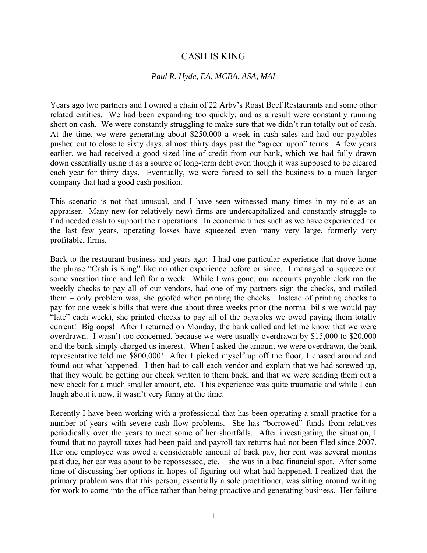## CASH IS KING

## *Paul R. Hyde, EA, MCBA, ASA, MAI*

Years ago two partners and I owned a chain of 22 Arby's Roast Beef Restaurants and some other related entities. We had been expanding too quickly, and as a result were constantly running short on cash. We were constantly struggling to make sure that we didn't run totally out of cash. At the time, we were generating about \$250,000 a week in cash sales and had our payables pushed out to close to sixty days, almost thirty days past the "agreed upon" terms. A few years earlier, we had received a good sized line of credit from our bank, which we had fully drawn down essentially using it as a source of long-term debt even though it was supposed to be cleared each year for thirty days. Eventually, we were forced to sell the business to a much larger company that had a good cash position.

This scenario is not that unusual, and I have seen witnessed many times in my role as an appraiser. Many new (or relatively new) firms are undercapitalized and constantly struggle to find needed cash to support their operations. In economic times such as we have experienced for the last few years, operating losses have squeezed even many very large, formerly very profitable, firms.

Back to the restaurant business and years ago: I had one particular experience that drove home the phrase "Cash is King" like no other experience before or since. I managed to squeeze out some vacation time and left for a week. While I was gone, our accounts payable clerk ran the weekly checks to pay all of our vendors, had one of my partners sign the checks, and mailed them – only problem was, she goofed when printing the checks. Instead of printing checks to pay for one week's bills that were due about three weeks prior (the normal bills we would pay "late" each week), she printed checks to pay all of the payables we owed paying them totally current! Big oops! After I returned on Monday, the bank called and let me know that we were overdrawn. I wasn't too concerned, because we were usually overdrawn by \$15,000 to \$20,000 and the bank simply charged us interest. When I asked the amount we were overdrawn, the bank representative told me \$800,000! After I picked myself up off the floor, I chased around and found out what happened. I then had to call each vendor and explain that we had screwed up, that they would be getting our check written to them back, and that we were sending them out a new check for a much smaller amount, etc. This experience was quite traumatic and while I can laugh about it now, it wasn't very funny at the time.

Recently I have been working with a professional that has been operating a small practice for a number of years with severe cash flow problems. She has "borrowed" funds from relatives periodically over the years to meet some of her shortfalls. After investigating the situation, I found that no payroll taxes had been paid and payroll tax returns had not been filed since 2007. Her one employee was owed a considerable amount of back pay, her rent was several months past due, her car was about to be repossessed, etc. – she was in a bad financial spot. After some time of discussing her options in hopes of figuring out what had happened, I realized that the primary problem was that this person, essentially a sole practitioner, was sitting around waiting for work to come into the office rather than being proactive and generating business. Her failure